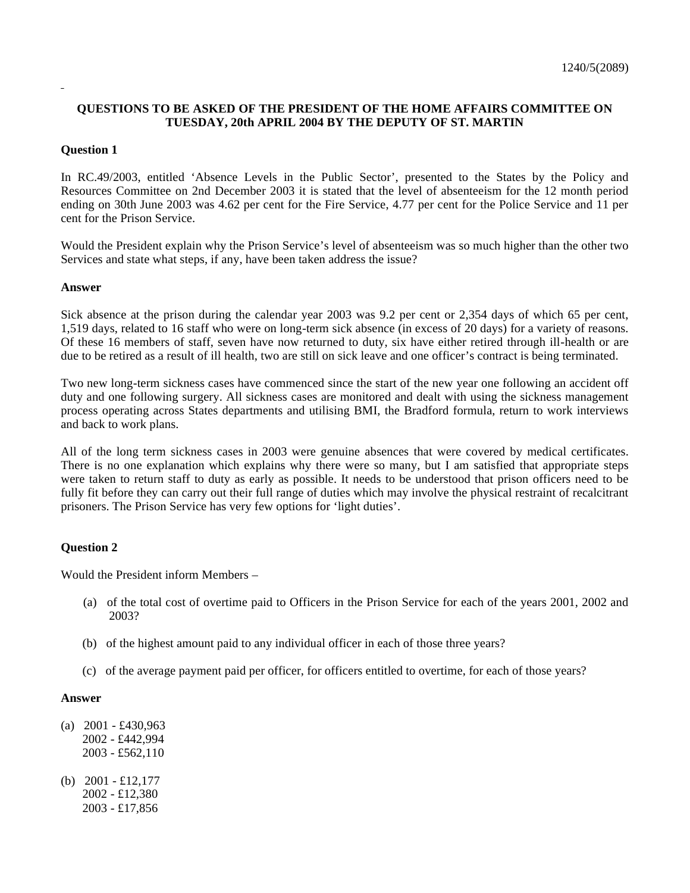# **QUESTIONS TO BE ASKED OF THE PRESIDENT OF THE HOME AFFAIRS COMMITTEE ON TUESDAY, 20th APRIL 2004 BY THE DEPUTY OF ST. MARTIN**

### **Question 1**

In RC.49/2003, entitled 'Absence Levels in the Public Sector', presented to the States by the Policy and Resources Committee on 2nd December 2003 it is stated that the level of absenteeism for the 12 month period ending on 30th June 2003 was 4.62 per cent for the Fire Service, 4.77 per cent for the Police Service and 11 per cent for the Prison Service.

Would the President explain why the Prison Service's level of absenteeism was so much higher than the other two Services and state what steps, if any, have been taken address the issue?

#### **Answer**

Sick absence at the prison during the calendar year 2003 was 9.2 per cent or 2,354 days of which 65 per cent, 1,519 days, related to 16 staff who were on long-term sick absence (in excess of 20 days) for a variety of reasons. Of these 16 members of staff, seven have now returned to duty, six have either retired through ill-health or are due to be retired as a result of ill health, two are still on sick leave and one officer's contract is being terminated.

Two new long-term sickness cases have commenced since the start of the new year one following an accident off duty and one following surgery. All sickness cases are monitored and dealt with using the sickness management process operating across States departments and utilising BMI, the Bradford formula, return to work interviews and back to work plans.

All of the long term sickness cases in 2003 were genuine absences that were covered by medical certificates. There is no one explanation which explains why there were so many, but I am satisfied that appropriate steps were taken to return staff to duty as early as possible. It needs to be understood that prison officers need to be fully fit before they can carry out their full range of duties which may involve the physical restraint of recalcitrant prisoners. The Prison Service has very few options for 'light duties'.

#### **Question 2**

Would the President inform Members –

- (a) of the total cost of overtime paid to Officers in the Prison Service for each of the years 2001, 2002 and 2003?
- (b) of the highest amount paid to any individual officer in each of those three years?
- (c) of the average payment paid per officer, for officers entitled to overtime, for each of those years?

#### **Answer**

- (a)  $2001 \pounds430,963$  2002 - £442,994 2003 - £562,110
- (b) 2001 £12,177 2002 - £12,380 2003 - £17,856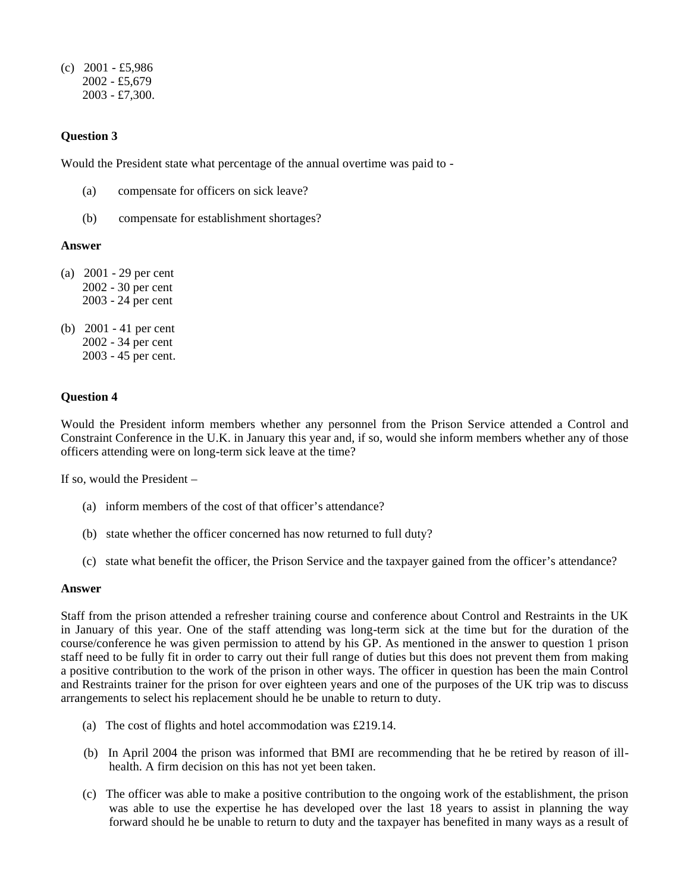(c) 2001 - £5,986 2002 - £5,679 2003 - £7,300.

## **Question 3**

Would the President state what percentage of the annual overtime was paid to -

- (a) compensate for officers on sick leave?
- (b) compensate for establishment shortages?

### **Answer**

- (a) 2001 29 per cent 2002 - 30 per cent 2003 - 24 per cent
- (b) 2001 41 per cent 2002 - 34 per cent 2003 - 45 per cent.

## **Question 4**

Would the President inform members whether any personnel from the Prison Service attended a Control and Constraint Conference in the U.K. in January this year and, if so, would she inform members whether any of those officers attending were on long-term sick leave at the time?

If so, would the President –

- (a) inform members of the cost of that officer's attendance?
- (b) state whether the officer concerned has now returned to full duty?
- (c) state what benefit the officer, the Prison Service and the taxpayer gained from the officer's attendance?

#### **Answer**

Staff from the prison attended a refresher training course and conference about Control and Restraints in the UK in January of this year. One of the staff attending was long-term sick at the time but for the duration of the course/conference he was given permission to attend by his GP. As mentioned in the answer to question 1 prison staff need to be fully fit in order to carry out their full range of duties but this does not prevent them from making a positive contribution to the work of the prison in other ways. The officer in question has been the main Control and Restraints trainer for the prison for over eighteen years and one of the purposes of the UK trip was to discuss arrangements to select his replacement should he be unable to return to duty.

- (a) The cost of flights and hotel accommodation was £219.14.
- (b) In April 2004 the prison was informed that BMI are recommending that he be retired by reason of illhealth. A firm decision on this has not yet been taken.
- (c) The officer was able to make a positive contribution to the ongoing work of the establishment, the prison was able to use the expertise he has developed over the last 18 years to assist in planning the way forward should he be unable to return to duty and the taxpayer has benefited in many ways as a result of